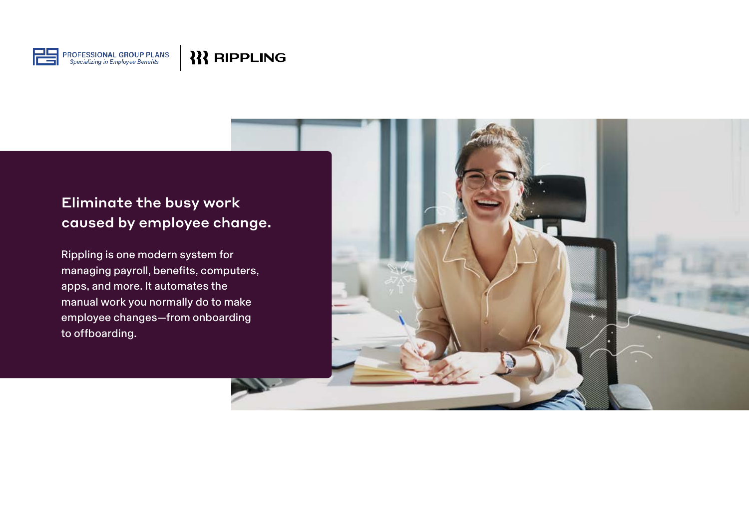

## Eliminate the busy work caused by employee change.

Rippling is one modern system for managing payroll, benefits, computers, apps, and more. It automates the manual work you normally do to make employee changes—from onboarding to offboarding.

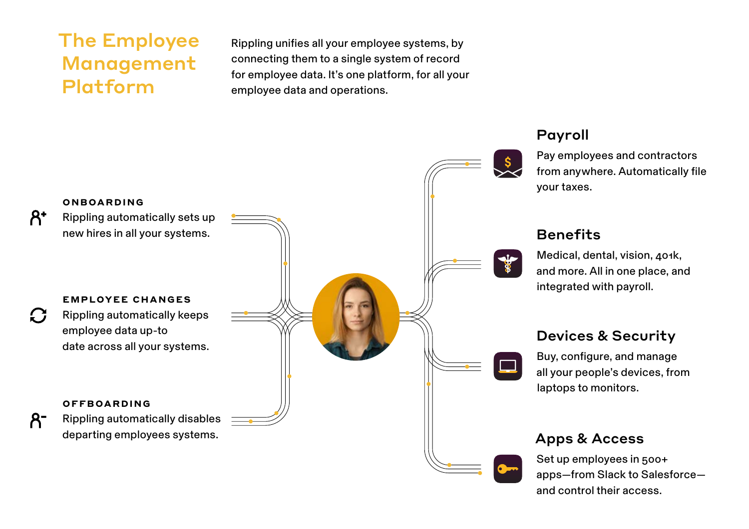# The Employee Management Platform

Rippling unifies all your employee systems, by connecting them to a single system of record for employee data. It's one platform, for all your employee data and operations.



### Payroll

Pay employees and contractors from anywhere. Automatically file your taxes.

#### **Benefits**

Medical, dental, vision, 401k, and more. All in one place, and integrated with payroll.

## Devices & Security

Buy, configure, and manage all your people's devices, from laptops to monitors.

### Apps & Access

Set up employees in 500+ apps—from Slack to Salesforce and control their access.